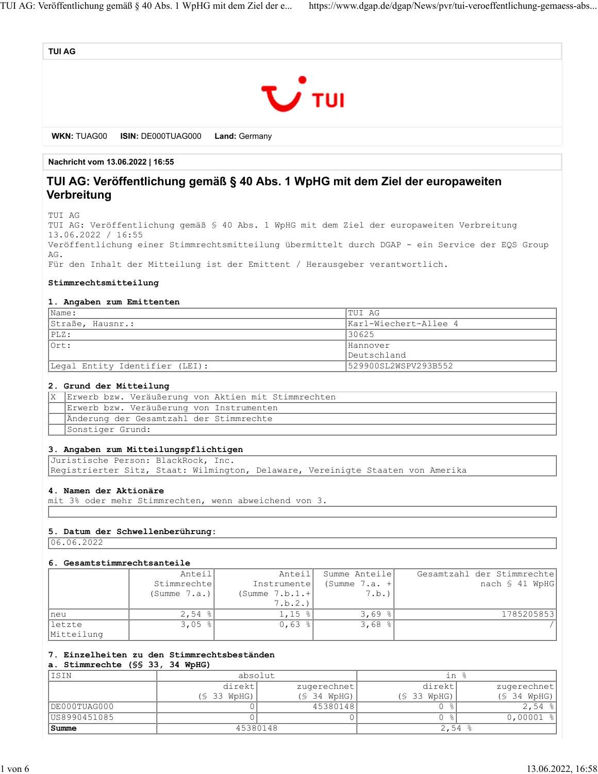



**WKN:** TUAG00 **ISIN:** DE000TUAG000 **Land:** Germany

**Nachricht vom 13.06.2022 | 16:55**

# **TUI AG: Veröffentlichung gemäß § 40 Abs. 1 WpHG mit dem Ziel der europaweiten Verbreitung**

TUI AG

TUI AG: Veröffentlichung gemäß § 40 Abs. 1 WpHG mit dem Ziel der europaweiten Verbreitung 13.06.2022 / 16:55 Veröffentlichung einer Stimmrechtsmitteilung übermittelt durch DGAP - ein Service der EQS Group AG. Für den Inhalt der Mitteilung ist der Emittent / Herausgeber verantwortlich.

#### **Stimmrechtsmitteilung**

#### **1. Angaben zum Emittenten**

| Name:                          | ITUI AG               |
|--------------------------------|-----------------------|
| Straße, Hausnr.:               | Karl-Wiechert-Allee 4 |
| PLZ:                           | 130625                |
| $l$ Ort:                       | Hannover              |
|                                | lDeutschland          |
| Legal Entity Identifier (LEI): | 529900SL2WSPV293B552  |

#### **2. Grund der Mitteilung**

| X Erwerb bzw. Veräußerung von Aktien mit Stimmrechten |
|-------------------------------------------------------|
| Erwerb bzw. Veräußerung von Instrumenten              |
| Änderung der Gesamtzahl der Stimmrechte               |
| Sonstiger Grund:                                      |

#### **3. Angaben zum Mitteilungspflichtigen**

Juristische Person: BlackRock, Inc. Registrierter Sitz, Staat: Wilmington, Delaware, Vereinigte Staaten von Amerika

#### **4. Namen der Aktionäre**

mit 3% oder mehr Stimmrechten, wenn abweichend von 3.

#### **5. Datum der Schwellenberührung:**

 $06.06.2022$ 

#### **6. Gesamtstimmrechtsanteile**

|                       | Anteil       | Anteil           | Summe Anteile   | Gesamtzahl der Stimmrechte |
|-----------------------|--------------|------------------|-----------------|----------------------------|
|                       | Stimmrechte  | Instrumente      | (Summe $7.a. +$ | nach § 41 WpHG             |
|                       | (Summe 7.a.) | (Summe $7.b.1.+$ | 7.b.)           |                            |
|                       |              | 7.b.2.           |                 |                            |
| Ineu                  | $2,54$ $ 8 $ | $1,15$ $ $       | 3,69            | 1785205853                 |
| lletzte<br>Mitteilung | $3,05$ $ $   | $0,63$ %         | 3,68            |                            |

## **7. Einzelheiten zu den Stimmrechtsbeständen**

### **a. Stimmrechte (§§ 33, 34 WpHG)**

| ISIN         | absolut         |               | in %               |                 |
|--------------|-----------------|---------------|--------------------|-----------------|
|              | direktl         | zugerechnet   | direktl            | zugerechnet     |
|              | $(S$ 33 $WpHG)$ | $(S$ 34 WpHG) | $(S$ 33 $WpHG)$    | $(S$ 34 $WpHG)$ |
| DE000TUAG000 |                 | 45380148      |                    | $2,54$ $ $      |
| US8990451085 |                 |               |                    | $0,00001$ %     |
| Summe        | 45380148        |               | 2,54 $\frac{8}{3}$ |                 |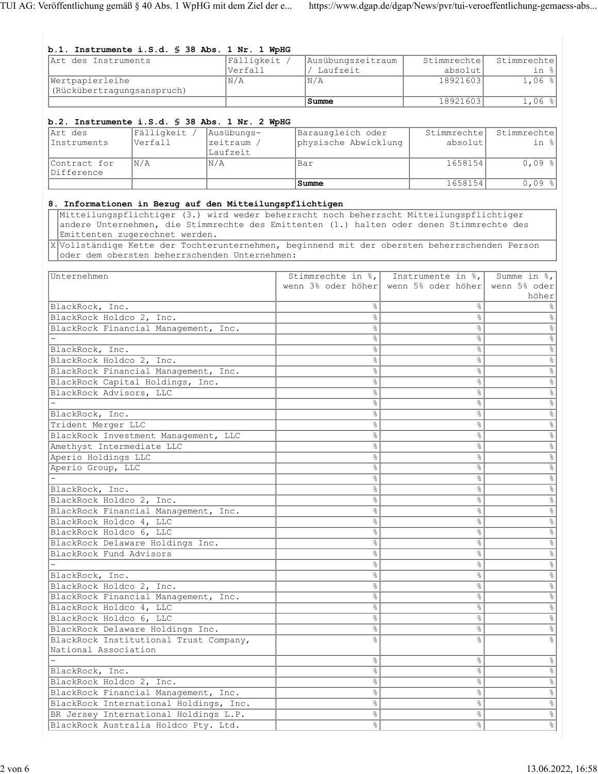#### **b.1. Instrumente i.S.d. § 38 Abs. 1 Nr. 1 WpHG**<br>Art des Instruments Fälligkeit / Art des Instruments Verfall Ausübungszeitraum / Laufzeit **Stimmrechte** absolut Stimmrechte in % Wertpapierleihe (Rückübertragungsanspruch)  $N/A$   $N/A$  18921603 1,06 % **Summe** 18921603 1,06 % **b.2. Instrumente i.S.d. § 38 Abs. 1 Nr. 2 WpHG** Art des Instruments Fälligkeit / Verfall Ausübungszeitraum / Laufzeit Barausgleich oder physische Abwicklung Stimmrechte absolut Stimmrechte in % Contract for Difference N/A N/A Bar 1658154 0,09 % **Summe** 1658154 0,09 % **8. Informationen in Bezug auf den Mitteilungspflichtigen** Mitteilungspflichtiger (3.) wird weder beherrscht noch beherrscht Mitteilungspflichtiger andere Unternehmen, die Stimmrechte des Emittenten (1.) halten oder denen Stimmrechte des Emittenten zugerechnet werden. X Vollständige Kette der Tochterunternehmen, beginnend mit der obersten beherrschenden Person oder dem obersten beherrschenden Unternehmen: Unternehmen Stimmrechte in %, wenn 3% oder höher wenn 5% oder höher Instrumente in %, Summe in %, wenn 5% oder höher BlackRock, Inc.  $\frac{1}{3}$ BlackRock Holdco 2, Inc.  $\frac{1}{8}$   $\frac{1}{8}$   $\frac{1}{8}$   $\frac{1}{8}$ BlackRock Financial Management, Inc.  $\begin{array}{c} \hline \end{array}$   $\begin{array}{c} \hline \end{array}$   $\begin{array}{c} \hline \end{array}$   $\begin{array}{c} \hline \end{array}$ - % % %  $BlackRock, Inc.$ BlackRock Holdco 2, Inc.  $\overline{\phantom{a}}$ BlackRock Financial Management, Inc.  $\begin{array}{c} \uparrow \\ \downarrow \end{array}$  &  $\begin{array}{c} \uparrow \\ \downarrow \end{array}$  & BlackRock Capital Holdings, Inc. % % % BlackRock Advisors, LLC<br>
- 8<br>  $\frac{1}{8}$  8<br>  $\frac{1}{8}$  8 - % % % BlackRock, Inc.  $\frac{1}{8}$ Trident Merger LLC  $\frac{1}{8}$   $\frac{1}{8}$   $\frac{1}{8}$   $\frac{1}{8}$ BlackRock Investment Management, LLC  $\begin{array}{c|c} \uparrow \end{array}$   $\begin{array}{c} \uparrow \end{array}$   $\begin{array}{c} \uparrow \end{array}$   $\begin{array}{c} \uparrow \end{array}$ Amethyst Intermediate LLC and the set of  $\frac{1}{2}$  and  $\frac{1}{2}$  and  $\frac{1}{2}$  and  $\frac{1}{2}$  and  $\frac{1}{2}$  and  $\frac{1}{2}$  and  $\frac{1}{2}$  and  $\frac{1}{2}$  and  $\frac{1}{2}$  and  $\frac{1}{2}$  and  $\frac{1}{2}$  and  $\frac{1}{2}$  and  $\frac{1}{2}$  and Aperio Holdings LLC  $\frac{1}{8}$   $\frac{1}{8}$   $\frac{1}{8}$   $\frac{1}{8}$   $\frac{1}{8}$ Aperio Group, LLC  $\begin{array}{|c|c|c|c|c|}\n\hline\n-\multicolumn{3}{c|}{\text{}}\n\end{array}$ - % % % BlackRock, Inc.  $\frac{2}{3}$   $\frac{8}{3}$   $\frac{8}{3}$   $\frac{8}{3}$   $\frac{8}{3}$   $\frac{8}{3}$   $\frac{8}{3}$   $\frac{8}{3}$   $\frac{8}{3}$   $\frac{8}{3}$   $\frac{8}{3}$   $\frac{8}{3}$   $\frac{8}{3}$   $\frac{8}{3}$   $\frac{8}{3}$   $\frac{8}{3}$   $\frac{8}{3}$   $\frac{8}{3}$   $\frac{8}{3}$   $\frac{8}{3}$   $\frac{8}{$ BlackRock Holdco 2, Inc.  $\frac{1}{8}$ BlackRock Financial Management, Inc.  $\begin{array}{c|c} \hline \end{array}$   $\begin{array}{c} \hline \end{array}$   $\begin{array}{c} \hline \end{array}$   $\begin{array}{c} \hline \end{array}$   $\begin{array}{c} \hline \end{array}$ BlackRock Holdco 4, LLC  $\frac{1}{8}$   $\frac{1}{8}$   $\frac{1}{8}$   $\frac{1}{8}$   $\frac{1}{8}$   $\frac{1}{8}$   $\frac{1}{8}$   $\frac{1}{8}$   $\frac{1}{8}$   $\frac{1}{8}$   $\frac{1}{8}$   $\frac{1}{8}$   $\frac{1}{8}$   $\frac{1}{8}$   $\frac{1}{8}$   $\frac{1}{8}$   $\frac{1}{8}$   $\frac{1}{8}$   $\frac{1}{8}$   $\frac{1}{8}$ BlackRock Holdco 6, LLC  $\frac{1}{8}$ BlackRock Delaware Holdings Inc.  $\begin{array}{ccc} & | & | & | \end{array}$   $\begin{array}{ccc} \text{8} & & \text{8} & \\ & & | & \end{array}$ BlackRock Fund Advisors  $\frac{1}{8}$ - % % %  $BlackRock, Inc.$ BlackRock Holdco 2, Inc.  $\frac{1}{8}$   $\frac{1}{8}$   $\frac{1}{8}$   $\frac{1}{8}$ BlackRock Financial Management, Inc.  $\begin{array}{c|c} \hline \end{array}$   $\begin{array}{c} \hline \end{array}$   $\begin{array}{c} \hline \end{array}$   $\begin{array}{c} \hline \end{array}$ BlackRock Holdco 4, LLC  $\frac{1}{8}$ BlackRock Holdco 6, LLC  $\frac{1}{8}$ BlackRock Delaware Holdings Inc.  $\begin{array}{ccc} & & & \circ & \circ & \circ \\ \hline \end{array}$ BlackRock Institutional Trust Company, National Association % % % - % % % BlackRock, Inc.  $\frac{1}{8}$ BlackRock Holdco 2, Inc. % % % BlackRock Financial Management, Inc.  $\begin{array}{c} \uparrow \\ \downarrow \end{array}$   $\begin{array}{c} \uparrow \\ \uparrow \end{array}$   $\begin{array}{c} \uparrow \\ \downarrow \end{array}$ BlackRock International Holdings, Inc.  $\begin{array}{c|c} \hline \end{array}$   $\begin{array}{c} \hline \end{array}$   $\begin{array}{c} \hline \end{array}$   $\begin{array}{c} \hline \end{array}$ BR Jersey International Holdings L.P. (1998) 8 1988 (1998) 8 1989 8 1989 (1998) 8 1989 8 1989 10 1989 10 1989 10 1989 10 1989 10 1989 10 1989 10 1989 10 1989 10 1989 10 1989 10 1989 10 1989 10 1989 10 1989 10 1989 10 1989 BlackRock Australia Holdco Pty. Ltd.  $\begin{array}{ccc} \hline \end{array}$   $\begin{array}{ccc} \hline \end{array}$   $\begin{array}{ccc} \hline \end{array}$   $\begin{array}{ccc} \hline \end{array}$   $\begin{array}{ccc} \hline \end{array}$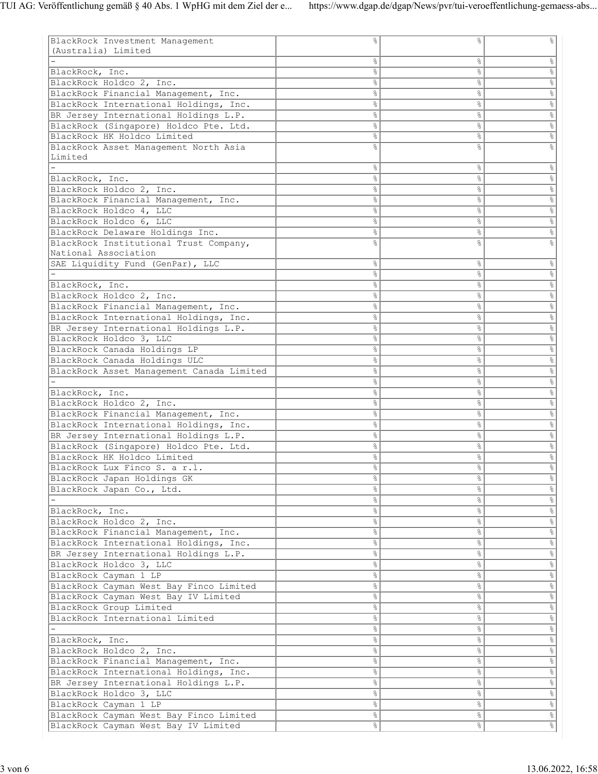| BlackRock Investment Management           |    |                | g.                                |
|-------------------------------------------|----|----------------|-----------------------------------|
| (Australia) Limited                       |    |                |                                   |
|                                           | s, | &              | $\%$                              |
| BlackRock, Inc.                           | 옹  | $\frac{6}{5}$  | $\%$                              |
| BlackRock Holdco 2, Inc.                  | 응  | g.             | $\frac{1}{\sqrt{2}}$              |
|                                           |    |                |                                   |
| BlackRock Financial Management, Inc.      | s, | o.             | $rac{1}{\sqrt{2}}$                |
| BlackRock International Holdings, Inc.    | s, | $\%$           | $\frac{1}{8}$                     |
| BR Jersey International Holdings L.P.     | °  | s,             | $\frac{1}{6}$                     |
| BlackRock (Singapore) Holdco Pte. Ltd.    | o. | o.             | $\frac{1}{\sqrt{2}}$              |
|                                           |    |                |                                   |
| BlackRock HK Holdco Limited               | 옹  | g <sub>o</sub> | $\frac{1}{\sqrt{2}}$              |
| BlackRock Asset Management North Asia     | g  |                | 。<br>8                            |
| Limited                                   |    |                |                                   |
|                                           | 응  | g.             | $\frac{6}{\sqrt{2}}$              |
| BlackRock, Inc.                           | s, | 옹              | $\frac{1}{8}$                     |
|                                           |    |                |                                   |
| BlackRock Holdco 2, Inc.                  | 옹  | $\frac{6}{5}$  | $\%$                              |
| BlackRock Financial Management, Inc.      | %  | g.             | $\frac{1}{\sqrt{2}}$              |
| BlackRock Holdco 4, LLC                   | s, | g.             | $rac{1}{\sqrt{2}}$                |
| BlackRock Holdco 6, LLC                   | s, | $\%$           | $\frac{1}{8}$                     |
| BlackRock Delaware Holdings Inc.          | °  | g.             | $\frac{1}{\sqrt{2}}$              |
|                                           |    |                |                                   |
| BlackRock Institutional Trust Company,    | 옹  | 옹              | 。<br>8                            |
| National Association                      |    |                |                                   |
| SAE Liquidity Fund (GenPar), LLC          | g. | ိဝ             | $\%$                              |
|                                           | s, | $\%$           | $\frac{1}{8}$                     |
|                                           | s, | s,             | $\frac{1}{\sqrt{2}}$              |
| BlackRock, Inc.                           |    |                |                                   |
| BlackRock Holdco 2, Inc.                  | s, | g.             | $\frac{1}{\sqrt{2}}$              |
| BlackRock Financial Management, Inc.      | s, | $\frac{6}{5}$  | $\frac{1}{\sqrt{2}}$              |
| BlackRock International Holdings, Inc.    | s, | g.             | $\frac{1}{\sqrt{2}}$              |
| BR Jersey International Holdings L.P.     | 응  | g.             | $\frac{1}{8}$                     |
| BlackRock Holdco 3, LLC                   | s, | $\%$           | $\frac{1}{8}$                     |
|                                           |    |                |                                   |
| BlackRock Canada Holdings LP              | s, | s,             | $\frac{1}{\sqrt{2}}$              |
| BlackRock Canada Holdings ULC             | s, | g.             | $\frac{1}{\sqrt{2}}$              |
| BlackRock Asset Management Canada Limited | g. | $\frac{6}{5}$  | $\frac{1}{\sqrt{2}}$              |
|                                           | 응  | g.             | $\frac{1}{6}$                     |
|                                           |    |                | $\frac{1}{\sqrt{2}}$              |
| BlackRock, Inc.                           | 응  | g.             |                                   |
| BlackRock Holdco 2, Inc.                  | s, | $\%$           | $\frac{1}{8}$                     |
| BlackRock Financial Management, Inc.      | s, | s,             | $\frac{1}{6}$                     |
| BlackRock International Holdings, Inc.    | s, | g.             | $\frac{1}{\sqrt{2}}$              |
| BR Jersey International Holdings L.P.     | e, | $\frac{6}{5}$  | $\frac{1}{\sqrt{2}}$              |
|                                           |    |                |                                   |
| BlackRock (Singapore) Holdco Pte. Ltd.    | °  | g.             | $\frac{1}{6}$                     |
| BlackRock HK Holdco Limited               | 응  | g.             | $\%$                              |
| BlackRock Lux Finco S. a r.l.             | °  | g              | o <sub>o</sub>                    |
| BlackRock Japan Holdings GK               | s, | ိင             | $\%$                              |
| BlackRock Japan Co., Ltd.                 | s, | $\%$           | $\frac{\rho}{\delta}$             |
|                                           |    |                |                                   |
|                                           | e, | $\%$           | $\frac{1}{\sqrt{2}}$              |
| BlackRock, Inc.                           | s, | s,             | $rac{1}{\sqrt{2}}$                |
| BlackRock Holdco 2, Inc.                  | °  | $\%$           | $rac{1}{\sqrt{2}}$                |
| BlackRock Financial Management, Inc.      | e, | $\%$           | $rac{1}{\sqrt{2}}$                |
|                                           |    |                | $\frac{1}{\sqrt{2}}$              |
| BlackRock International Holdings, Inc.    | °  | $\frac{6}{5}$  |                                   |
| BR Jersey International Holdings L.P.     | °  | $\%$           | $rac{1}{\sqrt{2}}$                |
| BlackRock Holdco 3, LLC                   | e, | $\%$           |                                   |
| BlackRock Cayman 1 LP                     | s, | s,             | $\frac{1}{\sqrt{2}}$              |
| BlackRock Cayman West Bay Finco Limited   | °  | $\%$           | $rac{1}{\sqrt{2}}$                |
|                                           |    |                |                                   |
| BlackRock Cayman West Bay IV Limited      | °  | $\%$           | $\frac{1}{\sqrt{2}}$              |
| BlackRock Group Limited                   | °  | $\frac{6}{5}$  | $\frac{1}{\sqrt{2}}$              |
| BlackRock International Limited           | e, | $\%$           | $rac{1}{\sqrt{2}}$                |
|                                           | e, | $\%$           | $\frac{1}{\sqrt{2}}$              |
|                                           | s, | s,             | $rac{6}{\sqrt{2}}$                |
| BlackRock, Inc.                           |    |                |                                   |
| BlackRock Holdco 2, Inc.                  | °  | $\%$           | $rac{\circ}{\circ}$               |
| BlackRock Financial Management, Inc.      | °  | $\%$           | $rac{1}{\sqrt{2}}$                |
|                                           |    |                | $\frac{1}{\sqrt{2}}$              |
|                                           | °  | $\frac{6}{5}$  |                                   |
| BlackRock International Holdings, Inc.    |    |                |                                   |
| BR Jersey International Holdings L.P.     | °  | $\%$           | $rac{1}{\sqrt{2}}$                |
| BlackRock Holdco 3, LLC                   | e, | $\%$           |                                   |
| BlackRock Cayman 1 LP                     | s, | $\frac{6}{3}$  |                                   |
| BlackRock Cayman West Bay Finco Limited   | °  | $\%$           | alo la la<br>$\frac{1}{\sqrt{2}}$ |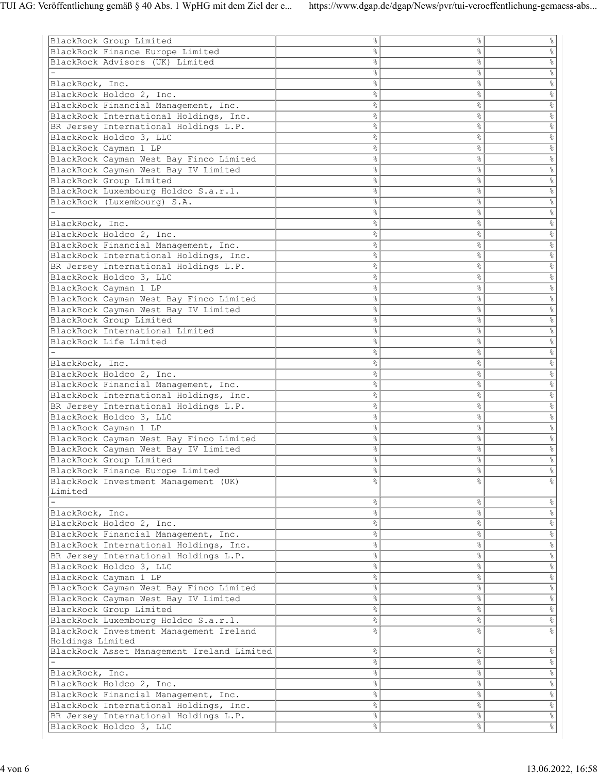| BlackRock Group Limited                    | $\%$          | နွ             | $\%$                 |
|--------------------------------------------|---------------|----------------|----------------------|
| BlackRock Finance Europe Limited           | 옹             | 옹              | $\%$                 |
| BlackRock Advisors (UK) Limited            | $\%$          | &              | $\frac{1}{\sqrt{2}}$ |
|                                            |               |                |                      |
|                                            | $\%$          | &              | $rac{1}{\sqrt{2}}$   |
| BlackRock, Inc.                            | $\%$          | o <sub>o</sub> | $\%$                 |
| BlackRock Holdco 2, Inc.                   | နွ            | နွ             | $\frac{1}{\sqrt{2}}$ |
| BlackRock Financial Management, Inc.       | $\%$          | နွ             | $rac{1}{\sqrt{2}}$   |
| BlackRock International Holdings, Inc.     | &             | န္             | $\%$                 |
| BR Jersey International Holdings L.P.      | e<br>S        | &              | $\frac{1}{\sqrt{2}}$ |
| BlackRock Holdco 3, LLC                    | $\%$          | &              | $\frac{1}{\sqrt{2}}$ |
| BlackRock Cayman 1 LP                      | န္            | &              | $\%$                 |
| BlackRock Cayman West Bay Finco Limited    | &             | နွ             | $\frac{1}{\sqrt{2}}$ |
| BlackRock Cayman West Bay IV Limited       | &             | နွ             | $\frac{1}{6}$        |
| BlackRock Group Limited                    | 옹             | န္             | $\%$                 |
| BlackRock Luxembourg Holdco S.a.r.l.       | e<br>S        | &              | $\frac{1}{\sqrt{2}}$ |
| BlackRock (Luxembourg) S.A.                | $\%$          | &              | $\frac{1}{\sqrt{2}}$ |
|                                            | $\%$          | o <sub>o</sub> |                      |
|                                            |               |                | $\%$                 |
| BlackRock, Inc.                            | နွ            | နွ             | $\frac{1}{\sqrt{2}}$ |
| BlackRock Holdco 2, Inc.                   | $\%$          | နွ             | $rac{1}{\sqrt{2}}$   |
| BlackRock Financial Management, Inc.       | &             | န္             | $\%$                 |
| BlackRock International Holdings, Inc.     | e<br>S        | &              | $\frac{1}{\sqrt{2}}$ |
| BR Jersey International Holdings L.P.      | $\%$          | &              | $\frac{1}{\sqrt{2}}$ |
| BlackRock Holdco 3, LLC                    | $\%$          | o <sub>o</sub> | $\%$                 |
| BlackRock Cayman 1 LP                      | န္            | နွ             | $\frac{1}{\sqrt{2}}$ |
| BlackRock Cayman West Bay Finco Limited    | $\frac{6}{3}$ | နွ             | $\frac{1}{8}$        |
| BlackRock Cayman West Bay IV Limited       | 옹             | န္             | $\%$                 |
| BlackRock Group Limited                    | e<br>S        | &              | $\frac{1}{\sqrt{2}}$ |
| BlackRock International Limited            | $\%$          | &              | $\frac{1}{\sqrt{2}}$ |
| BlackRock Life Limited                     | $\%$          | o <sub>o</sub> | $\%$                 |
|                                            | နွ            | နွ             | $\frac{1}{\sqrt{2}}$ |
|                                            |               |                |                      |
| BlackRock, Inc.                            | $\%$          | နွ             | $rac{1}{\sqrt{2}}$   |
| BlackRock Holdco 2, Inc.                   | &             | နွ             | $\frac{1}{\sqrt{2}}$ |
| BlackRock Financial Management, Inc.       | e<br>S        | &              | $\frac{1}{\sqrt{2}}$ |
| BlackRock International Holdings, Inc.     | $\%$          | &              | $\frac{1}{\sqrt{2}}$ |
| BR Jersey International Holdings L.P.      | o6            | o <sub>o</sub> | $\%$                 |
| BlackRock Holdco 3, LLC                    | န္            | နွ             | $\frac{1}{\sqrt{2}}$ |
| BlackRock Cayman 1 LP                      | $\frac{6}{3}$ | နွ             | $\frac{1}{8}$        |
| BlackRock Cayman West Bay Finco Limited    | 옹             | န္             | $\%$                 |
| BlackRock Cayman West Bay IV Limited       | e<br>S        | &              | $\frac{1}{\sqrt{2}}$ |
| BlackRock Group Limited                    | &             | နွ             | $\frac{1}{6}$        |
| BlackRock Finance Europe Limited           | e.            | 응              |                      |
| BlackRock Investment Management (UK)       |               |                |                      |
| Limited                                    |               |                |                      |
|                                            | $\frac{6}{3}$ | %              | $\%$                 |
| BlackRock, Inc.                            | &             | &              | $\frac{1}{6}$        |
| BlackRock Holdco 2, Inc.                   | $\%$          | န္             | $\%$                 |
|                                            |               |                |                      |
| BlackRock Financial Management, Inc.       | °             | နွ             | $\frac{1}{\sqrt{2}}$ |
| BlackRock International Holdings, Inc.     | $\frac{6}{5}$ | နွ             | $rac{1}{8}$          |
| BR Jersey International Holdings L.P.      | $\frac{6}{3}$ | နွ             | $\%$                 |
| BlackRock Holdco 3, LLC                    | &             | $\%$           | $\frac{1}{\sqrt{2}}$ |
| BlackRock Cayman 1 LP                      | &             | &              | $\frac{1}{8}$        |
| BlackRock Cayman West Bay Finco Limited    | °             | န္             | $\%$                 |
| BlackRock Cayman West Bay IV Limited       | $\frac{6}{5}$ | နွ             | $\frac{1}{\sqrt{2}}$ |
| BlackRock Group Limited                    | $\frac{8}{6}$ | °              | $rac{1}{\sqrt{2}}$   |
| BlackRock Luxembourg Holdco S.a.r.l.       | ိင            | နွ             | $\%$                 |
| BlackRock Investment Management Ireland    | $\%$          | န္             | $\%$                 |
| Holdings Limited                           |               |                |                      |
| BlackRock Asset Management Ireland Limited | $\frac{6}{3}$ | °              | $\frac{1}{\sqrt{2}}$ |
|                                            | $\frac{6}{5}$ | °              | $rac{1}{\sqrt{2}}$   |
| BlackRock, Inc.                            | ိင            | °              | $\frac{1}{\sqrt{2}}$ |
| BlackRock Holdco 2, Inc.                   | $\frac{8}{6}$ | $\%$           | $\frac{1}{\sqrt{2}}$ |
|                                            |               |                |                      |
| BlackRock Financial Management, Inc.       | &             | &              | $\frac{1}{8}$        |
| BlackRock International Holdings, Inc.     | $\frac{6}{3}$ | နွ             | $\frac{1}{\sqrt{2}}$ |
| BR Jersey International Holdings L.P.      | 응             | %              | $\frac{1}{\sqrt{2}}$ |
| BlackRock Holdco 3, LLC                    | $\%$          | °              |                      |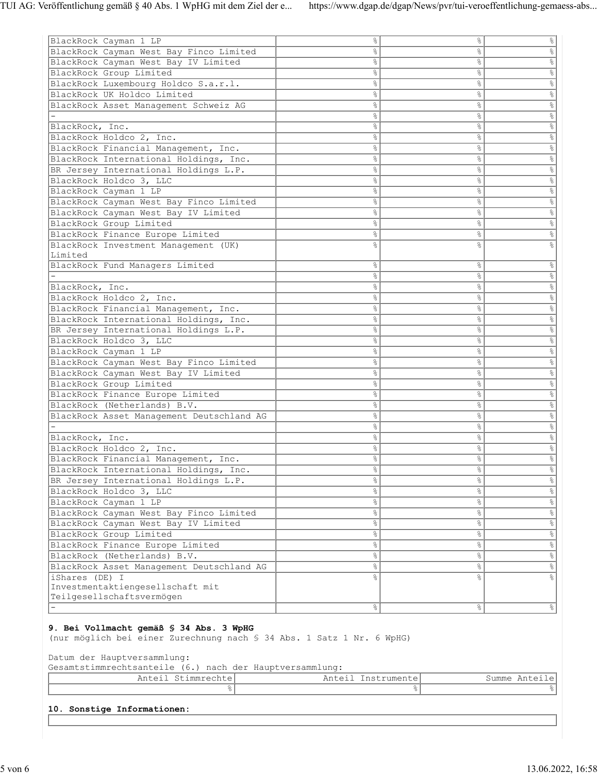| BlackRock Cayman 1 LP                                           | နွ             | 응              | ိင                   |
|-----------------------------------------------------------------|----------------|----------------|----------------------|
| BlackRock Cayman West Bay Finco Limited                         | &              | &              | $\%$                 |
| BlackRock Cayman West Bay IV Limited                            | &              | o <sub>o</sub> | $\%$                 |
|                                                                 |                | o.             |                      |
| BlackRock Group Limited<br>BlackRock Luxembourg Holdco S.a.r.l. | &<br>&         | &              | $\%$                 |
| BlackRock UK Holdco Limited                                     |                |                | $\%$                 |
|                                                                 | နွ             | န္             | $\%$                 |
| BlackRock Asset Management Schweiz AG                           | နွ             | s,             | $\%$                 |
|                                                                 | °              | &              | $\%$                 |
| BlackRock, Inc.                                                 | &              | o <sub>o</sub> | $\%$                 |
| BlackRock Holdco 2, Inc.                                        | နွ             | o.             | $\%$                 |
| BlackRock Financial Management, Inc.                            | $\%$           | g.             | $\%$                 |
| BlackRock International Holdings, Inc.                          | နွ             | e.             | 옹                    |
| BR Jersey International Holdings L.P.                           | &              | 응              | $\%$                 |
| BlackRock Holdco 3, LLC                                         | °              | °              | $\%$                 |
| BlackRock Cayman 1 LP                                           | °              | o6             | $\%$                 |
| BlackRock Cayman West Bay Finco Limited                         | &              | o.             | $\%$                 |
| BlackRock Cayman West Bay IV Limited                            | °              | °              | $\%$                 |
| BlackRock Group Limited                                         | နွ             | o6             | 옹                    |
| BlackRock Finance Europe Limited                                | နွ             | s,             | 옹                    |
| BlackRock Investment Management (UK)                            | o <sub>o</sub> | o.             | $\frac{6}{6}$        |
| Limited                                                         |                |                |                      |
| BlackRock Fund Managers Limited                                 | နွ             | နွ             | &                    |
|                                                                 | နွ             | e.             | 옹                    |
| BlackRock, Inc.                                                 | နွ             | s,             | $\%$                 |
| BlackRock Holdco 2, Inc.                                        | °              | °              | $\frac{1}{\sqrt{2}}$ |
| BlackRock Financial Management, Inc.                            | °              | o6             | $\%$                 |
| BlackRock International Holdings, Inc.                          | &              | o.             | $\%$                 |
| BR Jersey International Holdings L.P.                           | &              | &              | $\%$                 |
| BlackRock Holdco 3, LLC                                         | နွ             | e.             | $\%$                 |
| BlackRock Cayman 1 LP                                           | နွ             | s,             | $\%$                 |
| BlackRock Cayman West Bay Finco Limited                         | °              | °              | $\%$                 |
| BlackRock Cayman West Bay IV Limited                            | °              | o.             | $\%$                 |
| BlackRock Group Limited                                         | &              | o.             | $\%$                 |
| BlackRock Finance Europe Limited                                | %              | g.             | $\frac{1}{\sqrt{2}}$ |
| BlackRock (Netherlands) B.V.                                    | နွ             | e.             | &                    |
| BlackRock Asset Management Deutschland AG                       | နွ             | s,             | $\%$                 |
|                                                                 | °              | °              | $\%$                 |
| BlackRock, Inc.                                                 | °              | o6             | $\%$                 |
| BlackRock Holdco 2, Inc.                                        | °              | g.             | $\%$                 |
| BlackRock Financial Management, Inc.                            | °              | s,             | $\%$                 |
| BlackRock International Holdings, Inc.                          | °              | o.             | $\%$                 |
| BR Jersey International Holdings L.P.                           | နွ             | %              | $\frac{6}{6}$        |
| BlackRock Holdco 3, LLC                                         | $\%$           | °              | $\frac{1}{\sqrt{2}}$ |
| BlackRock Cayman 1 LP                                           | g.             | o6             | $\%$                 |
| BlackRock Cayman West Bay Finco Limited                         | °              | s,             | $\%$                 |
| BlackRock Cayman West Bay IV Limited                            | $\%$           | °              | $\%$                 |
| BlackRock Group Limited                                         | °              | 응              | $\%$                 |
| BlackRock Finance Europe Limited                                | °              | e,             | $\%$                 |
| BlackRock (Netherlands) B.V.                                    | $\%$           | g.             | $\frac{1}{\sqrt{2}}$ |
| BlackRock Asset Management Deutschland AG                       | g.             | &              | $\%$                 |
| iShares (DE) I                                                  | &              | ٥Ŗ             |                      |
| Investmentaktiengesellschaft mit                                |                |                |                      |
| Teilgesellschaftsvermögen                                       |                |                |                      |
|                                                                 | $\frac{1}{6}$  | $\frac{8}{6}$  | $\frac{6}{3}$        |
| $\sim$<br>20 C OA                                               |                |                |                      |

#### **9. Bei Vollmacht gemäß § 34 Abs. 3 WpHG**

(nur möglich bei einer Zurechnung nach § 34 Abs. 1 Satz 1 Nr. 6 WpHG)

Datum der Hauptversammlung:

Gesamtstimmrechtsanteile (6.) nach der Hauptversammlung:

| $\sim$ $\sim$<br>immrechte<br>Allution | $\sim$ $  -$<br>$\sim$<br>ا است ب است الله المالي المالية المالية المالية المالية المالية المالية المالية المالية المالية ال<br>------ | Summe<br>\n+<br>. |
|----------------------------------------|----------------------------------------------------------------------------------------------------------------------------------------|-------------------|
|                                        |                                                                                                                                        |                   |

#### **10. Sonstige Informationen:**